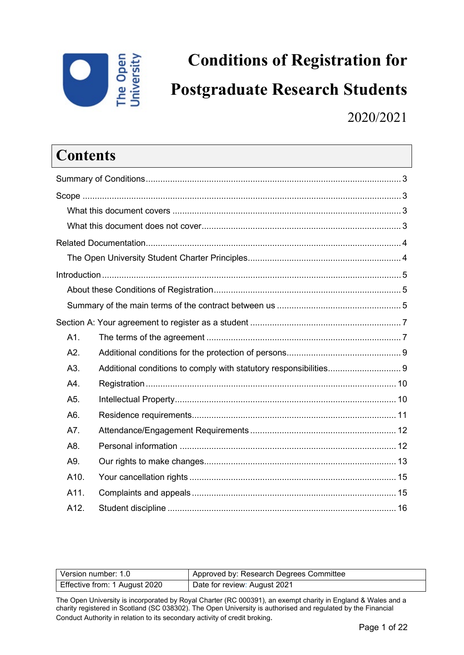

# **Conditions of Registration for Postgraduate Research Students** 2020/2021

### **Contents**

| A1.  |  |
|------|--|
| A2.  |  |
| A3.  |  |
| A4.  |  |
| A5.  |  |
| A6.  |  |
| A7.  |  |
| A8.  |  |
| A9.  |  |
| A10. |  |
| A11. |  |
| A12. |  |
|      |  |

| Version number: 1.0           | Approved by: Research Degrees Committee |
|-------------------------------|-----------------------------------------|
| Effective from: 1 August 2020 | Date for review: August 2021            |

The Open University is incorporated by Royal Charter (RC 000391), an exempt charity in England & Wales and a charity registered in Scotland (SC 038302). The Open University is authorised and regulated by the Financial Conduct Authority in relation to its secondary activity of credit broking.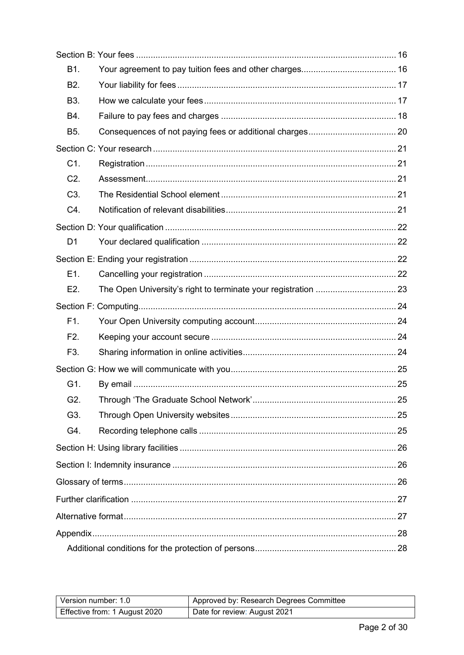| B1.              |  |
|------------------|--|
| B <sub>2</sub> . |  |
| <b>B3.</b>       |  |
| B4.              |  |
| <b>B5.</b>       |  |
|                  |  |
| C1.              |  |
| C2.              |  |
| C <sub>3</sub> . |  |
| C4.              |  |
|                  |  |
| D1               |  |
|                  |  |
| E1.              |  |
| E <sub>2</sub> . |  |
|                  |  |
| F1.              |  |
| F <sub>2</sub> . |  |
| F3.              |  |
|                  |  |
| G1.              |  |
| G2.              |  |
| G3.              |  |
| G4.              |  |
|                  |  |
|                  |  |
|                  |  |
|                  |  |
|                  |  |
|                  |  |
|                  |  |

| Version number: 1.0           | Approved by: Research Degrees Committee |
|-------------------------------|-----------------------------------------|
| Effective from: 1 August 2020 | Date for review: August 2021            |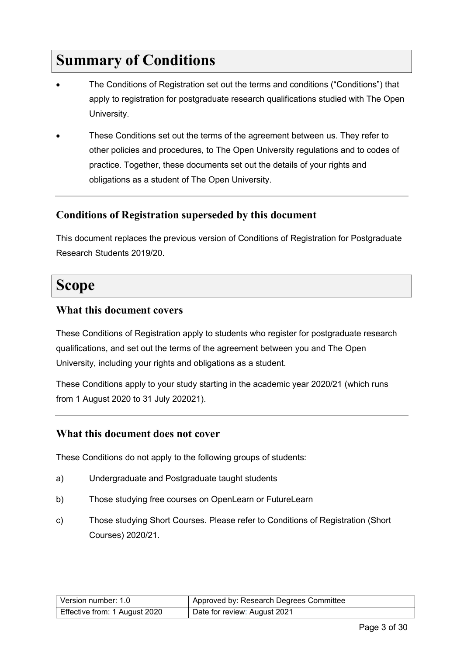## <span id="page-2-0"></span>**Summary of Conditions**

- The Conditions of Registration set out the terms and conditions ("Conditions") that apply to registration for postgraduate research qualifications studied with The Open University.
- These Conditions set out the terms of the agreement between us. They refer to other policies and procedures, to The Open University regulations and to codes of practice. Together, these documents set out the details of your rights and obligations as a student of The Open University.

#### **Conditions of Registration superseded by this document**

This document replaces the previous version of Conditions of Registration for Postgraduate Research Students 2019/20.

### <span id="page-2-1"></span>**Scope**

#### <span id="page-2-2"></span>**What this document covers**

These Conditions of Registration apply to students who register for postgraduate research qualifications, and set out the terms of the agreement between you and The Open University, including your rights and obligations as a student.

These Conditions apply to your study starting in the academic year 2020/21 (which runs from 1 August 2020 to 31 July 202021).

#### <span id="page-2-3"></span>**What this document does not cover**

These Conditions do not apply to the following groups of students:

- a) Undergraduate and Postgraduate taught students
- b) Those studying free courses on OpenLearn or FutureLearn
- c) Those studying Short Courses. Please refer to Conditions of Registration (Short Courses) 2020/21.

| Version number: 1.0           | Approved by: Research Degrees Committee |
|-------------------------------|-----------------------------------------|
| Effective from: 1 August 2020 | Date for review: August 2021            |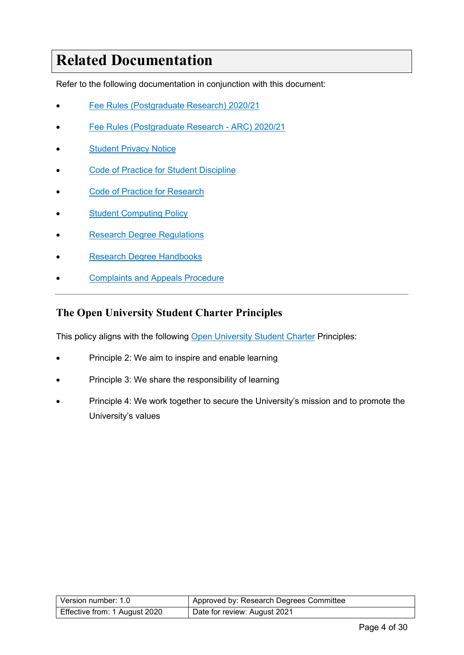## <span id="page-3-0"></span>**Related Documentation**

Refer to the following documentation in conjunction with this document:

- [Fee Rules \(Postgraduate Research\) 2020/21](https://help.open.ac.uk/documents/policies/fee-rules)
- [Fee Rules \(Postgraduate Research ARC\) 2020/21](https://help.open.ac.uk/documents/policies/fee-rules)
- **[Student Privacy Notice](https://help.open.ac.uk/documents/policies/privacy-notice)**
- **[Code of Practice for Student Discipline](https://help.open.ac.uk/documents/policies/code-of-practice-student-discipline)**
- [Code of Practice for Research](http://www.open.ac.uk/research/plans-policies)
- **[Student Computing Policy](https://help.open.ac.uk/documents/policies/computing)**
- [Research Degree Regulations](https://help.open.ac.uk/documents/policies/research-degree-regulations)
- **[Research Degree Handbooks](https://help.open.ac.uk/documents/policies/research-degrees-handbook)**
- **[Complaints and Appeals Procedure](https://help.open.ac.uk/documents/policies/complaints-and-appeals-procedure)**

#### <span id="page-3-1"></span>**The Open University Student Charter Principles**

This policy aligns with the following [Open University Student Charter](http://www.open.ac.uk/students/charter/) Principles:

- Principle 2: We aim to inspire and enable learning
- Principle 3: We share the responsibility of learning
- Principle 4: We work together to secure the University's mission and to promote the University's values

| Version number: 1.0           | Approved by: Research Degrees Committee |
|-------------------------------|-----------------------------------------|
| Effective from: 1 August 2020 | Date for review: August 2021            |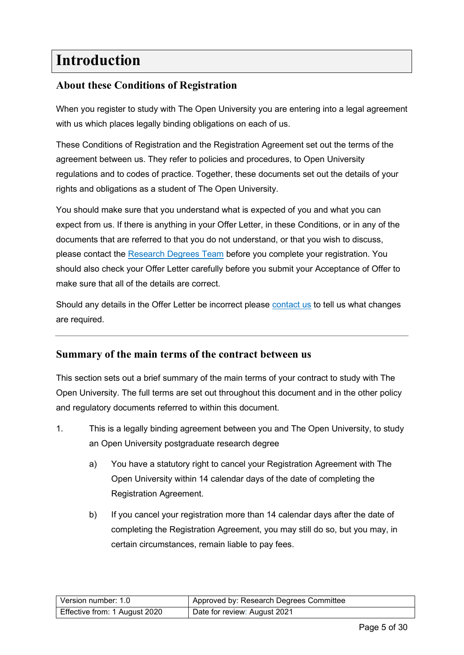### <span id="page-4-0"></span>**Introduction**

#### <span id="page-4-1"></span>**About these Conditions of Registration**

When you register to study with The Open University you are entering into a legal agreement with us which places legally binding obligations on each of us.

These Conditions of Registration and the Registration Agreement set out the terms of the agreement between us. They refer to policies and procedures, to Open University regulations and to codes of practice. Together, these documents set out the details of your rights and obligations as a student of The Open University.

You should make sure that you understand what is expected of you and what you can expect from us. If there is anything in your Offer Letter, in these Conditions, or in any of the documents that are referred to that you do not understand, or that you wish to discuss, please contact the [Research Degrees Team](#page-26-2) before you complete your registration. You should also check your Offer Letter carefully before you submit your Acceptance of Offer to make sure that all of the details are correct.

Should any details in the Offer Letter be incorrect please [contact us](#page-26-2) to tell us what changes are required.

#### <span id="page-4-2"></span>**Summary of the main terms of the contract between us**

This section sets out a brief summary of the main terms of your contract to study with The Open University. The full terms are set out throughout this document and in the other policy and regulatory documents referred to within this document.

- 1. This is a legally binding agreement between you and The Open University, to study an Open University postgraduate research degree
	- a) You have a statutory right to cancel your Registration Agreement with The Open University within 14 calendar days of the date of completing the Registration Agreement.
	- b) If you cancel your registration more than 14 calendar days after the date of completing the Registration Agreement, you may still do so, but you may, in certain circumstances, remain liable to pay fees.

| Version number: 1.0           | Approved by: Research Degrees Committee |
|-------------------------------|-----------------------------------------|
| Effective from: 1 August 2020 | Date for review: August 2021            |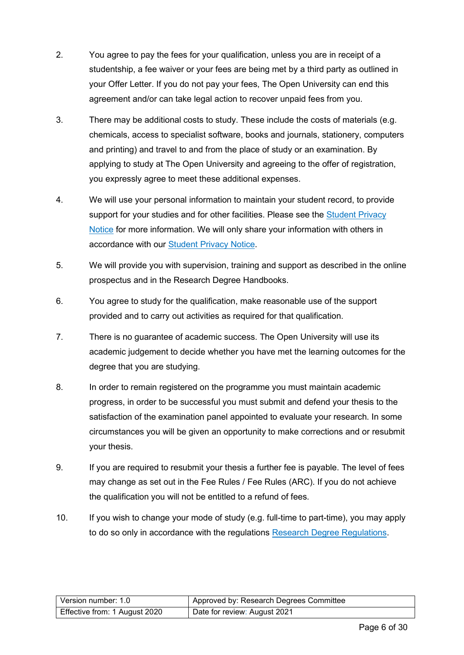- 2. You agree to pay the fees for your qualification, unless you are in receipt of a studentship, a fee waiver or your fees are being met by a third party as outlined in your Offer Letter. If you do not pay your fees, The Open University can end this agreement and/or can take legal action to recover unpaid fees from you.
- 3. There may be additional costs to study. These include the costs of materials (e.g. chemicals, access to specialist software, books and journals, stationery, computers and printing) and travel to and from the place of study or an examination. By applying to study at The Open University and agreeing to the offer of registration, you expressly agree to meet these additional expenses.
- 4. We will use your personal information to maintain your student record, to provide support for your studies and for other facilities. Please see the Student Privacy [Notice](https://help.open.ac.uk/documents/policies/privacy-notice) for more information. We will only share your information with others in accordance with our [Student Privacy Notice.](https://help.open.ac.uk/documents/policies/privacy-notice)
- 5. We will provide you with supervision, training and support as described in the online prospectus and in the Research Degree Handbooks.
- 6. You agree to study for the qualification, make reasonable use of the support provided and to carry out activities as required for that qualification.
- 7. There is no guarantee of academic success. The Open University will use its academic judgement to decide whether you have met the learning outcomes for the degree that you are studying.
- 8. In order to remain registered on the programme you must maintain academic progress, in order to be successful you must submit and defend your thesis to the satisfaction of the examination panel appointed to evaluate your research. In some circumstances you will be given an opportunity to make corrections and or resubmit your thesis.
- 9. If you are required to resubmit your thesis a further fee is payable. The level of fees may change as set out in the Fee Rules / Fee Rules (ARC). If you do not achieve the qualification you will not be entitled to a refund of fees.
- 10. If you wish to change your mode of study (e.g. full-time to part-time), you may apply to do so only in accordance with the regulations [Research Degree Regulations.](https://help.open.ac.uk/documents/policies/research-degree-regulations)

| l Version number: 1.0         | Approved by: Research Degrees Committee |
|-------------------------------|-----------------------------------------|
| Effective from: 1 August 2020 | Date for review: August 2021            |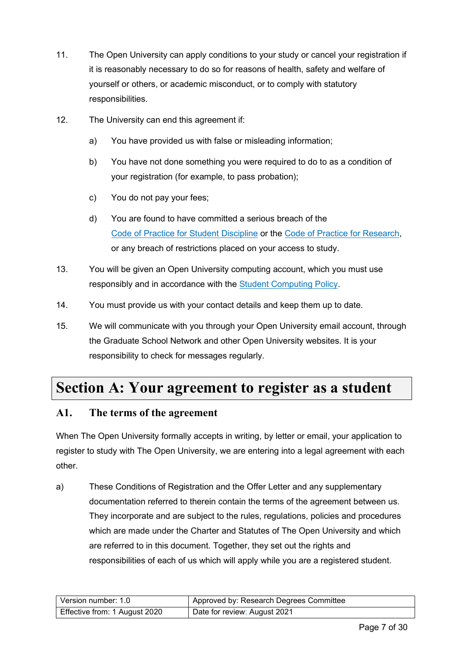- 11. The Open University can apply conditions to your study or cancel your registration if it is reasonably necessary to do so for reasons of health, safety and welfare of yourself or others, or academic misconduct, or to comply with statutory responsibilities.
- 12. The University can end this agreement if:
	- a) You have provided us with false or misleading information;
	- b) You have not done something you were required to do to as a condition of your registration (for example, to pass probation);
	- c) You do not pay your fees;
	- d) You are found to have committed a serious breach of the [Code of Practice for Student Discipline](https://help.open.ac.uk/documents/policies/code-of-practice-student-discipline) or the [Code of Practice for Research,](http://www.open.ac.uk/research/plans-policies) or any breach of restrictions placed on your access to study.
- 13. You will be given an Open University computing account, which you must use responsibly and in accordance with the [Student Computing Policy.](https://help.open.ac.uk/documents/policies/computing)
- 14. You must provide us with your contact details and keep them up to date.
- 15. We will communicate with you through your Open University email account, through the Graduate School Network and other Open University websites. It is your responsibility to check for messages regularly.

### <span id="page-6-0"></span>**Section A: Your agreement to register as a student**

#### <span id="page-6-1"></span>**A1. The terms of the agreement**

When The Open University formally accepts in writing, by letter or email, your application to register to study with The Open University, we are entering into a legal agreement with each other.

a) These Conditions of Registration and the Offer Letter and any supplementary documentation referred to therein contain the terms of the agreement between us. They incorporate and are subject to the rules, regulations, policies and procedures which are made under the Charter and Statutes of The Open University and which are referred to in this document. Together, they set out the rights and responsibilities of each of us which will apply while you are a registered student.

| Version number: 1.0           | Approved by: Research Degrees Committee |
|-------------------------------|-----------------------------------------|
| Effective from: 1 August 2020 | Date for review: August 2021            |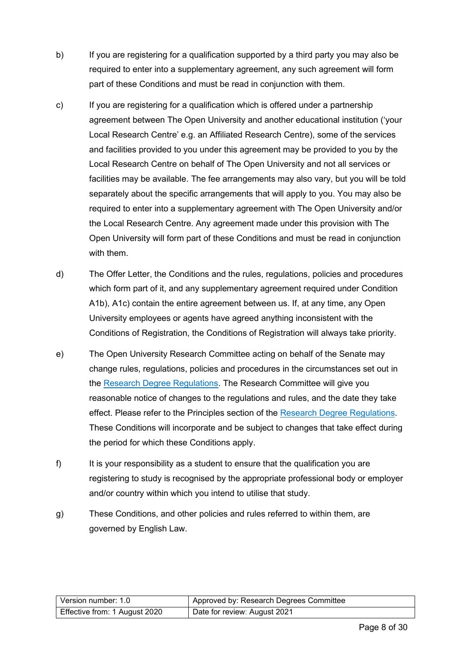- b) If you are registering for a qualification supported by a third party you may also be required to enter into a supplementary agreement, any such agreement will form part of these Conditions and must be read in conjunction with them.
- c) If you are registering for a qualification which is offered under a partnership agreement between The Open University and another educational institution ('your Local Research Centre' e.g. an Affiliated Research Centre), some of the services and facilities provided to you under this agreement may be provided to you by the Local Research Centre on behalf of The Open University and not all services or facilities may be available. The fee arrangements may also vary, but you will be told separately about the specific arrangements that will apply to you. You may also be required to enter into a supplementary agreement with The Open University and/or the Local Research Centre. Any agreement made under this provision with The Open University will form part of these Conditions and must be read in conjunction with them.
- d) The Offer Letter, the Conditions and the rules, regulations, policies and procedures which form part of it, and any supplementary agreement required under Condition A1b), A1c) contain the entire agreement between us. If, at any time, any Open University employees or agents have agreed anything inconsistent with the Conditions of Registration, the Conditions of Registration will always take priority.
- e) The Open University Research Committee acting on behalf of the Senate may change rules, regulations, policies and procedures in the circumstances set out in the [Research Degree Regulations.](https://help.open.ac.uk/documents/policies/research-degree-regulations) The Research Committee will give you reasonable notice of changes to the regulations and rules, and the date they take effect. Please refer to the Principles section of the [Research Degree Regulations.](https://help.open.ac.uk/documents/policies/research-degree-regulations) These Conditions will incorporate and be subject to changes that take effect during the period for which these Conditions apply.
- f) It is your responsibility as a student to ensure that the qualification you are registering to study is recognised by the appropriate professional body or employer and/or country within which you intend to utilise that study.
- g) These Conditions, and other policies and rules referred to within them, are governed by English Law.

| Version number: 1.0           | Approved by: Research Degrees Committee |
|-------------------------------|-----------------------------------------|
| Effective from: 1 August 2020 | Date for review: August 2021            |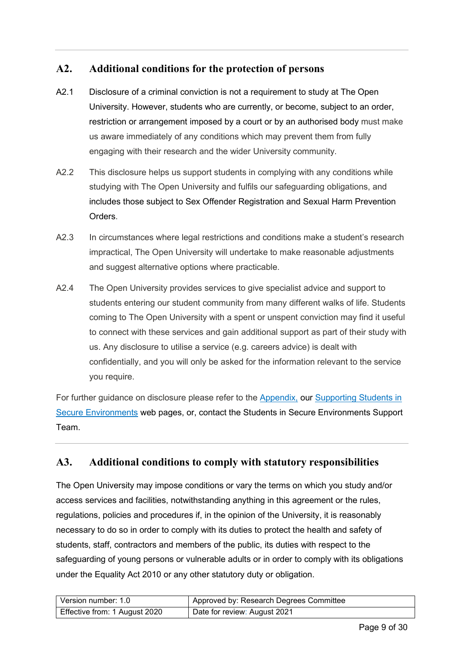#### <span id="page-8-0"></span>**A2. Additional conditions for the protection of persons**

- <span id="page-8-1"></span>A2.1 Disclosure of a criminal conviction is not a requirement to study at The Open University. However, students who are currently, or become, subject to an order, restriction or arrangement imposed by a court or by an authorised body must make us aware immediately of any conditions which may prevent them from fully engaging with their research and the wider University community.
- A2.2 This disclosure helps us support students in complying with any conditions while studying with The Open University and fulfils our safeguarding obligations, and includes those subject to Sex Offender Registration and Sexual Harm Prevention Orders.
- A2.3 In circumstances where legal restrictions and conditions make a student's research impractical, The Open University will undertake to make reasonable adjustments and suggest alternative options where practicable.
- A2.4 The Open University provides services to give specialist advice and support to students entering our student community from many different walks of life. Students coming to The Open University with a spent or unspent conviction may find it useful to connect with these services and gain additional support as part of their study with us. Any disclosure to utilise a service (e.g. careers advice) is dealt with confidentially, and you will only be asked for the information relevant to the service you require.

For further guidance on disclosure please refer to the [Appendix,](#page-26-3) our [Supporting Students in](http://www.open.ac.uk/secure-environments/)  [Secure Environments](http://www.open.ac.uk/secure-environments/) web pages, or, contact the Students in Secure Environments Support Team.

#### **A3. Additional conditions to comply with statutory responsibilities**

The Open University may impose conditions or vary the terms on which you study and/or access services and facilities, notwithstanding anything in this agreement or the rules, regulations, policies and procedures if, in the opinion of the University, it is reasonably necessary to do so in order to comply with its duties to protect the health and safety of students, staff, contractors and members of the public, its duties with respect to the safeguarding of young persons or vulnerable adults or in order to comply with its obligations under the Equality Act 2010 or any other statutory duty or obligation.

| Version number: 1.0           | Approved by: Research Degrees Committee |
|-------------------------------|-----------------------------------------|
| Effective from: 1 August 2020 | Date for review: August 2021            |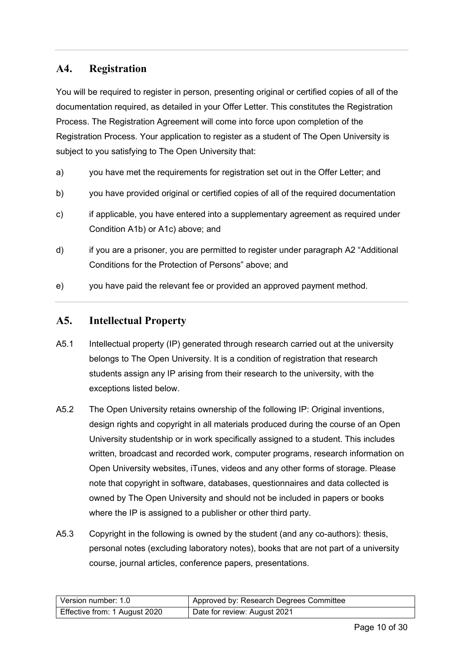#### <span id="page-9-0"></span>**A4. Registration**

You will be required to register in person, presenting original or certified copies of all of the documentation required, as detailed in your Offer Letter. This constitutes the Registration Process. The Registration Agreement will come into force upon completion of the Registration Process. Your application to register as a student of The Open University is subject to you satisfying to The Open University that:

- a) you have met the requirements for registration set out in the Offer Letter; and
- b) you have provided original or certified copies of all of the required documentation
- c) if applicable, you have entered into a supplementary agreement as required under Condition A1b) or A1c) above; and
- d) if you are a prisoner, you are permitted to register under paragraph A2 "Additional Conditions for the Protection of Persons" above; and
- e) you have paid the relevant fee or provided an approved payment method.

#### <span id="page-9-1"></span>**A5. Intellectual Property**

- A5.1 Intellectual property (IP) generated through research carried out at the university belongs to The Open University. It is a condition of registration that research students assign any IP arising from their research to the university, with the exceptions listed below.
- A5.2 The Open University retains ownership of the following IP: Original inventions, design rights and copyright in all materials produced during the course of an Open University studentship or in work specifically assigned to a student. This includes written, broadcast and recorded work, computer programs, research information on Open University websites, iTunes, videos and any other forms of storage. Please note that copyright in software, databases, questionnaires and data collected is owned by The Open University and should not be included in papers or books where the IP is assigned to a publisher or other third party.
- A5.3 Copyright in the following is owned by the student (and any co-authors): thesis, personal notes (excluding laboratory notes), books that are not part of a university course, journal articles, conference papers, presentations.

| Version number: 1.0           | Approved by: Research Degrees Committee |
|-------------------------------|-----------------------------------------|
| Effective from: 1 August 2020 | Date for review: August 2021            |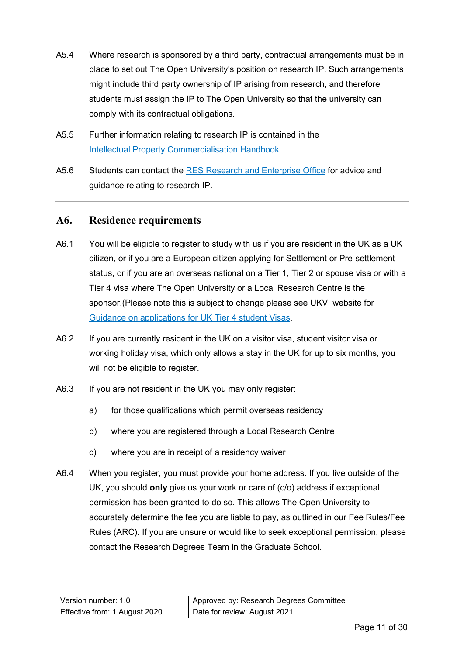- A5.4 Where research is sponsored by a third party, contractual arrangements must be in place to set out The Open University's position on research IP. Such arrangements might include third party ownership of IP arising from research, and therefore students must assign the IP to The Open University so that the university can comply with its contractual obligations.
- A5.5 Further information relating to research IP is contained in the [Intellectual Property Commercialisation Handbook.](http://www.open.ac.uk/students/research/forms-and-guidance)
- A5.6 Students can contact the [RES Research and Enterprise Office](mailto:enterprise@open.ac.uk) for advice and guidance relating to research IP.

#### <span id="page-10-0"></span>**A6. Residence requirements**

- A6.1 You will be eligible to register to study with us if you are resident in the UK as a UK citizen, or if you are a European citizen applying for Settlement or Pre-settlement status, or if you are an overseas national on a Tier 1, Tier 2 or spouse visa or with a Tier 4 visa where The Open University or a Local Research Centre is the sponsor.(Please note this is subject to change please see UKVI website for Guidance [on applications for UK Tier 4 student Visas.](https://www.gov.uk/government/publications/guidance-on-application-for-uk-visa-as-tier-4-student)
- A6.2 If you are currently resident in the UK on a visitor visa, student visitor visa or working holiday visa, which only allows a stay in the UK for up to six months, you will not be eligible to register.
- A6.3 If you are not resident in the UK you may only register:
	- a) for those qualifications which permit overseas residency
	- b) where you are registered through a Local Research Centre
	- c) where you are in receipt of a residency waiver
- A6.4 When you register, you must provide your home address. If you live outside of the UK, you should **only** give us your work or care of (c/o) address if exceptional permission has been granted to do so. This allows The Open University to accurately determine the fee you are liable to pay, as outlined in our Fee Rules/Fee Rules (ARC). If you are unsure or would like to seek exceptional permission, please contact the Research Degrees Team in the Graduate School.

| Version number: 1.0           | Approved by: Research Degrees Committee |
|-------------------------------|-----------------------------------------|
| Effective from: 1 August 2020 | Date for review: August 2021            |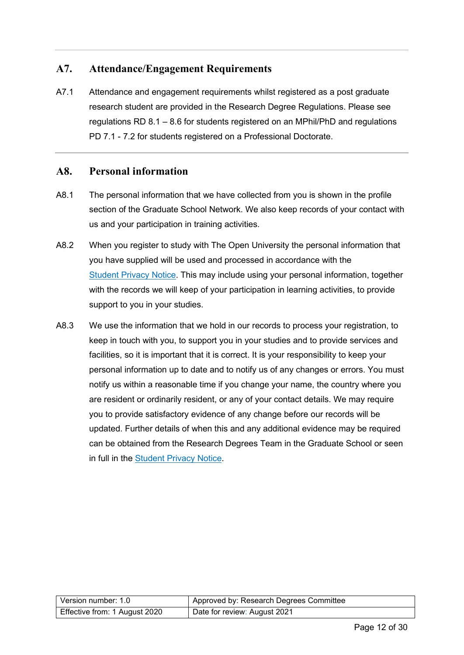#### <span id="page-11-0"></span>**A7. Attendance/Engagement Requirements**

A7.1 Attendance and engagement requirements whilst registered as a post graduate research student are provided in the Research Degree Regulations. Please see regulations RD 8.1 – 8.6 for students registered on an MPhil/PhD and regulations PD 7.1 - 7.2 for students registered on a Professional Doctorate.

#### <span id="page-11-1"></span>**A8. Personal information**

- A8.1 The personal information that we have collected from you is shown in the profile section of the Graduate School Network. We also keep records of your contact with us and your participation in training activities.
- A8.2 When you register to study with The Open University the personal information that you have supplied will be used and processed in accordance with the [Student Privacy Notice.](https://help.open.ac.uk/documents/policies/privacy-notice) This may include using your personal information, together with the records we will keep of your participation in learning activities, to provide support to you in your studies.
- A8.3 We use the information that we hold in our records to process your registration, to keep in touch with you, to support you in your studies and to provide services and facilities, so it is important that it is correct. It is your responsibility to keep your personal information up to date and to notify us of any changes or errors. You must notify us within a reasonable time if you change your name, the country where you are resident or ordinarily resident, or any of your contact details. We may require you to provide satisfactory evidence of any change before our records will be updated. Further details of when this and any additional evidence may be required can be obtained from the Research Degrees Team in the Graduate School or seen in full in the [Student Privacy Notice.](https://help.open.ac.uk/documents/policies/privacy-notice)

| l Version number: 1.0_        | Approved by: Research Degrees Committee |
|-------------------------------|-----------------------------------------|
| Effective from: 1 August 2020 | Date for review: August 2021            |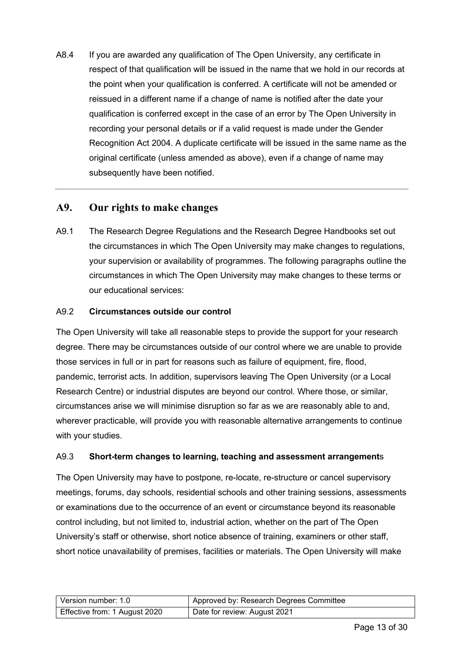A8.4 If you are awarded any qualification of The Open University, any certificate in respect of that qualification will be issued in the name that we hold in our records at the point when your qualification is conferred. A certificate will not be amended or reissued in a different name if a change of name is notified after the date your qualification is conferred except in the case of an error by The Open University in recording your personal details or if a valid request is made under the Gender Recognition Act 2004. A duplicate certificate will be issued in the same name as the original certificate (unless amended as above), even if a change of name may subsequently have been notified.

#### <span id="page-12-0"></span>**A9. Our rights to make changes**

A9.1 The Research Degree Regulations and the Research Degree Handbooks set out the circumstances in which The Open University may make changes to regulations, your supervision or availability of programmes. The following paragraphs outline the circumstances in which The Open University may make changes to these terms or our educational services:

#### A9.2 **Circumstances outside our control**

The Open University will take all reasonable steps to provide the support for your research degree. There may be circumstances outside of our control where we are unable to provide those services in full or in part for reasons such as failure of equipment, fire, flood, pandemic, terrorist acts. In addition, supervisors leaving The Open University (or a Local Research Centre) or industrial disputes are beyond our control. Where those, or similar, circumstances arise we will minimise disruption so far as we are reasonably able to and, wherever practicable, will provide you with reasonable alternative arrangements to continue with your studies.

#### A9.3 **Short-term changes to learning, teaching and assessment arrangement**s

The Open University may have to postpone, re-locate, re-structure or cancel supervisory meetings, forums, day schools, residential schools and other training sessions, assessments or examinations due to the occurrence of an event or circumstance beyond its reasonable control including, but not limited to, industrial action, whether on the part of The Open University's staff or otherwise, short notice absence of training, examiners or other staff, short notice unavailability of premises, facilities or materials. The Open University will make

| Version number: 1.0           | Approved by: Research Degrees Committee |
|-------------------------------|-----------------------------------------|
| Effective from: 1 August 2020 | Date for review: August 2021            |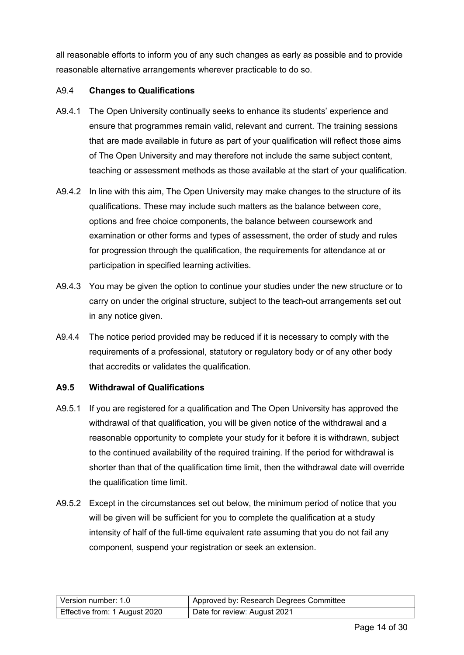all reasonable efforts to inform you of any such changes as early as possible and to provide reasonable alternative arrangements wherever practicable to do so.

#### A9.4 **Changes to Qualifications**

- A9.4.1 The Open University continually seeks to enhance its students' experience and ensure that programmes remain valid, relevant and current. The training sessions that are made available in future as part of your qualification will reflect those aims of The Open University and may therefore not include the same subject content, teaching or assessment methods as those available at the start of your qualification*.*
- A9.4.2 In line with this aim, The Open University may make changes to the structure of its qualifications. These may include such matters as the balance between core, options and free choice components, the balance between coursework and examination or other forms and types of assessment, the order of study and rules for progression through the qualification, the requirements for attendance at or participation in specified learning activities.
- A9.4.3 You may be given the option to continue your studies under the new structure or to carry on under the original structure, subject to the teach-out arrangements set out in any notice given.
- A9.4.4 The notice period provided may be reduced if it is necessary to comply with the requirements of a professional, statutory or regulatory body or of any other body that accredits or validates the qualification.

#### **A9.5 Withdrawal of Qualifications**

- A9.5.1 If you are registered for a qualification and The Open University has approved the withdrawal of that qualification, you will be given notice of the withdrawal and a reasonable opportunity to complete your study for it before it is withdrawn, subject to the continued availability of the required training. If the period for withdrawal is shorter than that of the qualification time limit, then the withdrawal date will override the qualification time limit.
- A9.5.2 Except in the circumstances set out below, the minimum period of notice that you will be given will be sufficient for you to complete the qualification at a study intensity of half of the full-time equivalent rate assuming that you do not fail any component, suspend your registration or seek an extension.

| l Version number: 1.0         | Approved by: Research Degrees Committee |
|-------------------------------|-----------------------------------------|
| Effective from: 1 August 2020 | Date for review: August 2021            |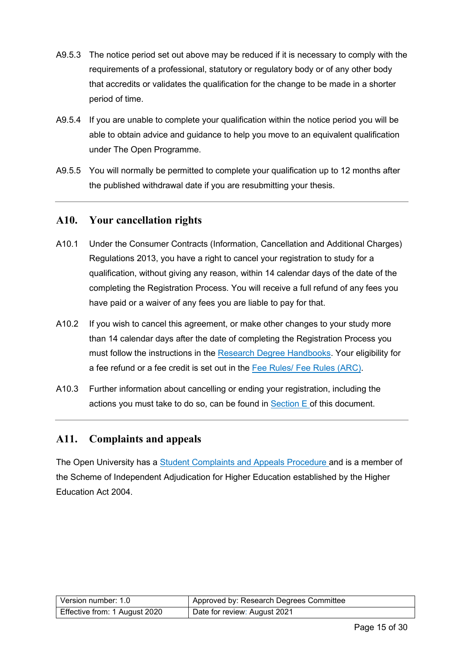- A9.5.3 The notice period set out above may be reduced if it is necessary to comply with the requirements of a professional, statutory or regulatory body or of any other body that accredits or validates the qualification for the change to be made in a shorter period of time.
- A9.5.4 If you are unable to complete your qualification within the notice period you will be able to obtain advice and guidance to help you move to an equivalent qualification under The Open Programme.
- A9.5.5 You will normally be permitted to complete your qualification up to 12 months after the published withdrawal date if you are resubmitting your thesis.

#### <span id="page-14-0"></span>**A10. Your cancellation rights**

- A10.1 Under the Consumer Contracts (Information, Cancellation and Additional Charges) Regulations 2013, you have a right to cancel your registration to study for a qualification, without giving any reason, within 14 calendar days of the date of the completing the Registration Process. You will receive a full refund of any fees you have paid or a waiver of any fees you are liable to pay for that.
- A10.2 If you wish to cancel this agreement, or make other changes to your study more than 14 calendar days after the date of completing the Registration Process you must follow the instructions in the [Research Degree Handbooks.](https://help.open.ac.uk/documents/policies/research-degrees-handbook) Your eligibility for a fee refund or a fee credit is set out in the [Fee Rules/ Fee Rules \(ARC\).](http://www.open.ac.uk/students/research/forms-and-guidance)
- A10.3 Further information about cancelling or ending your registration, including the actions you must take to do so, can be found in  $Section E$  of this document.

#### <span id="page-14-1"></span>**A11. Complaints and appeals**

The Open University has a **Student Complaints and Appeals Procedure** and is a member of the Scheme of Independent Adjudication for Higher Education established by the Higher Education Act 2004.

| Version number: 1.0           | Approved by: Research Degrees Committee |
|-------------------------------|-----------------------------------------|
| Effective from: 1 August 2020 | Date for review: August 2021            |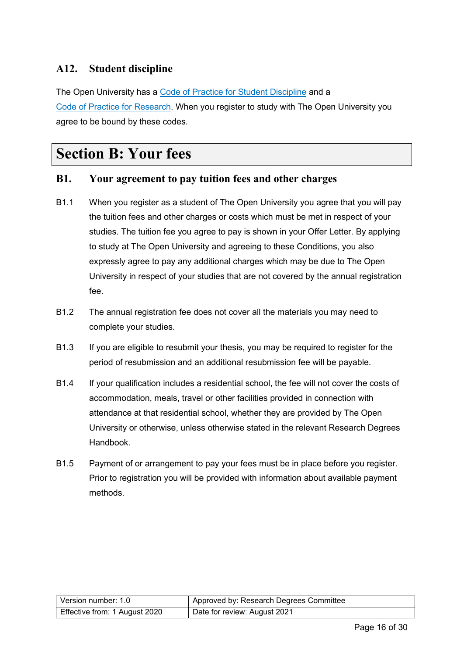#### <span id="page-15-3"></span><span id="page-15-0"></span>**A12. Student discipline**

The Open University has a [Code of Practice for Student Discipline](https://help.open.ac.uk/documents/policies/code-of-practice-student-discipline) and a [Code of Practice for Research.](http://www.open.ac.uk/research/plans-policies) When you register to study with The Open University you agree to be bound by these codes.

### <span id="page-15-1"></span>**Section B: Your fees**

#### <span id="page-15-2"></span>**B1. Your agreement to pay tuition fees and other charges**

- B1.1 When you register as a student of The Open University you agree that you will pay the tuition fees and other charges or costs which must be met in respect of your studies. The tuition fee you agree to pay is shown in your Offer Letter. By applying to study at The Open University and agreeing to these Conditions, you also expressly agree to pay any additional charges which may be due to The Open University in respect of your studies that are not covered by the annual registration fee.
- B1.2 The annual registration fee does not cover all the materials you may need to complete your studies.
- B1.3 If you are eligible to resubmit your thesis, you may be required to register for the period of resubmission and an additional resubmission fee will be payable.
- B1.4 If your qualification includes a residential school, the fee will not cover the costs of accommodation, meals, travel or other facilities provided in connection with attendance at that residential school, whether they are provided by The Open University or otherwise, unless otherwise stated in the relevant Research Degrees Handbook.
- B1.5 Payment of or arrangement to pay your fees must be in place before you register. Prior to registration you will be provided with information about available payment methods.

| Version number: 1.0           | Approved by: Research Degrees Committee |
|-------------------------------|-----------------------------------------|
| Effective from: 1 August 2020 | Date for review: August 2021            |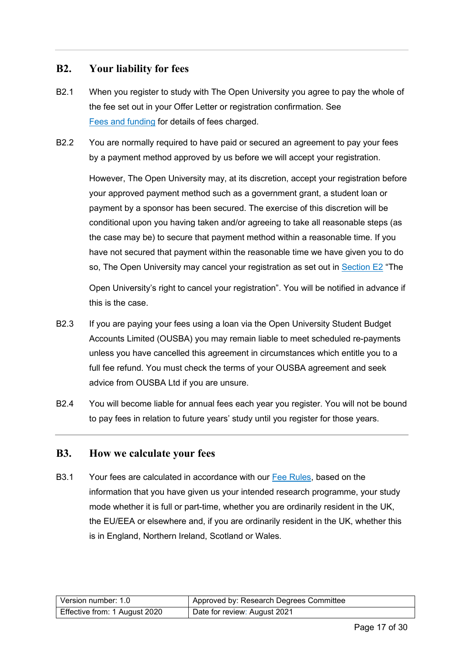#### <span id="page-16-0"></span>**B2. Your liability for fees**

- B2.1 When you register to study with The Open University you agree to pay the whole of the fee set out in your Offer Letter or registration confirmation. See [Fees and funding](#page-15-3) for details of fees charged.
- <span id="page-16-2"></span>B2.2 You are normally required to have paid or secured an agreement to pay your fees by a payment method approved by us before we will accept your registration.

However, The Open University may, at its discretion, accept your registration before your approved payment method such as a government grant, a student loan or payment by a sponsor has been secured. The exercise of this discretion will be conditional upon you having taken and/or agreeing to take all reasonable steps (as the case may be) to secure that payment method within a reasonable time. If you have not secured that payment within the reasonable time we have given you to do so, The Open University may cancel your registration as set out in [Section E2](#page-22-0) "The

Open University's right to cancel your registration". You will be notified in advance if this is the case.

- B2.3 If you are paying your fees using a loan via the Open University Student Budget Accounts Limited (OUSBA) you may remain liable to meet scheduled re-payments unless you have cancelled this agreement in circumstances which entitle you to a full fee refund. You must check the terms of your OUSBA agreement and seek advice from OUSBA Ltd if you are unsure.
- B2.4 You will become liable for annual fees each year you register. You will not be bound to pay fees in relation to future years' study until you register for those years.

#### <span id="page-16-1"></span>**B3. How we calculate your fees**

B3.1 Your fees are calculated in accordance with our [Fee Rules,](https://help.open.ac.uk/documents/policies/fee-rules) based on the information that you have given us your intended research programme, your study mode whether it is full or part-time, whether you are ordinarily resident in the UK, the EU/EEA or elsewhere and, if you are ordinarily resident in the UK, whether this is in England, Northern Ireland, Scotland or Wales.

| Version number: 1.0           | Approved by: Research Degrees Committee |
|-------------------------------|-----------------------------------------|
| Effective from: 1 August 2020 | Date for review: August 2021            |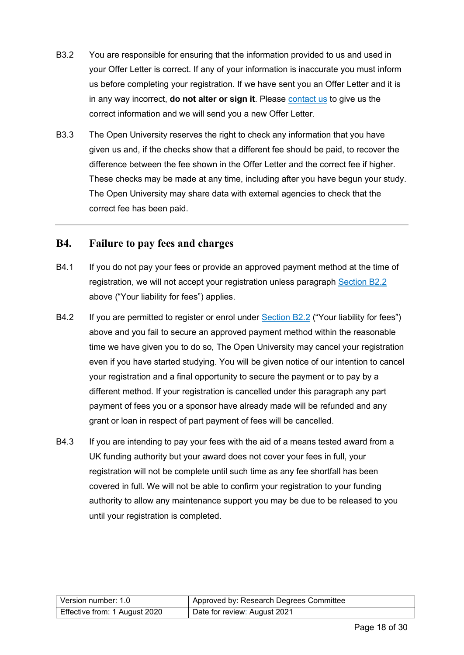- B3.2 You are responsible for ensuring that the information provided to us and used in your Offer Letter is correct. If any of your information is inaccurate you must inform us before completing your registration. If we have sent you an Offer Letter and it is in any way incorrect, **do not alter or sign it**. Please [contact us](#page-26-2) to give us the correct information and we will send you a new Offer Letter.
- B3.3 The Open University reserves the right to check any information that you have given us and, if the checks show that a different fee should be paid, to recover the difference between the fee shown in the Offer Letter and the correct fee if higher. These checks may be made at any time, including after you have begun your study. The Open University may share data with external agencies to check that the correct fee has been paid.

#### <span id="page-17-0"></span>**B4. Failure to pay fees and charges**

- B4.1 If you do not pay your fees or provide an approved payment method at the time of registration, we will not accept your registration unless paragraph [Section B2.2](#page-16-2) above ("Your liability for fees") applies.
- B4.2 If you are permitted to register or enrol under [Section B2.2](#page-16-2) ("Your liability for fees") above and you fail to secure an approved payment method within the reasonable time we have given you to do so, The Open University may cancel your registration even if you have started studying. You will be given notice of our intention to cancel your registration and a final opportunity to secure the payment or to pay by a different method. If your registration is cancelled under this paragraph any part payment of fees you or a sponsor have already made will be refunded and any grant or loan in respect of part payment of fees will be cancelled.
- B4.3 If you are intending to pay your fees with the aid of a means tested award from a UK funding authority but your award does not cover your fees in full, your registration will not be complete until such time as any fee shortfall has been covered in full. We will not be able to confirm your registration to your funding authority to allow any maintenance support you may be due to be released to you until your registration is completed.

| Version number: 1.0           | Approved by: Research Degrees Committee |
|-------------------------------|-----------------------------------------|
| Effective from: 1 August 2020 | Date for review: August 2021            |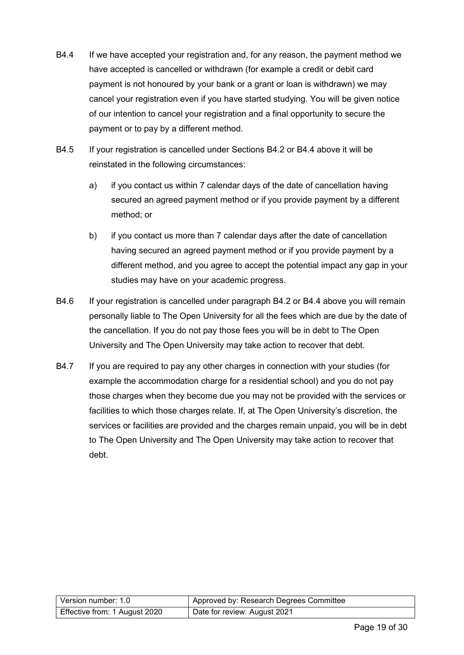- B4.4 If we have accepted your registration and, for any reason, the payment method we have accepted is cancelled or withdrawn (for example a credit or debit card payment is not honoured by your bank or a grant or loan is withdrawn) we may cancel your registration even if you have started studying. You will be given notice of our intention to cancel your registration and a final opportunity to secure the payment or to pay by a different method.
- B4.5 If your registration is cancelled under Sections B4.2 or B4.4 above it will be reinstated in the following circumstances:
	- a) if you contact us within 7 calendar days of the date of cancellation having secured an agreed payment method or if you provide payment by a different method; or
	- b) if you contact us more than 7 calendar days after the date of cancellation having secured an agreed payment method or if you provide payment by a different method, and you agree to accept the potential impact any gap in your studies may have on your academic progress.
- B4.6 If your registration is cancelled under paragraph B4.2 or B4.4 above you will remain personally liable to The Open University for all the fees which are due by the date of the cancellation. If you do not pay those fees you will be in debt to The Open University and The Open University may take action to recover that debt.
- B4.7 If you are required to pay any other charges in connection with your studies (for example the accommodation charge for a residential school) and you do not pay those charges when they become due you may not be provided with the services or facilities to which those charges relate. If, at The Open University's discretion, the services or facilities are provided and the charges remain unpaid, you will be in debt to The Open University and The Open University may take action to recover that debt.

| Version number: 1.0           | Approved by: Research Degrees Committee |
|-------------------------------|-----------------------------------------|
| Effective from: 1 August 2020 | Date for review: August 2021            |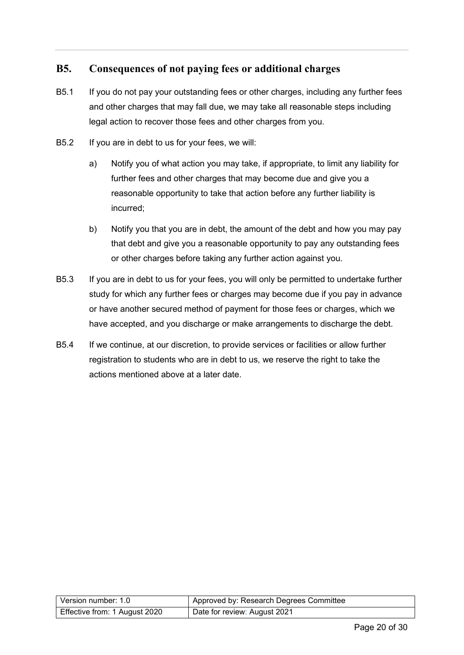#### <span id="page-19-0"></span>**B5. Consequences of not paying fees or additional charges**

- B5.1 If you do not pay your outstanding fees or other charges, including any further fees and other charges that may fall due, we may take all reasonable steps including legal action to recover those fees and other charges from you.
- B5.2 If you are in debt to us for your fees, we will:
	- a) Notify you of what action you may take, if appropriate, to limit any liability for further fees and other charges that may become due and give you a reasonable opportunity to take that action before any further liability is incurred;
	- b) Notify you that you are in debt, the amount of the debt and how you may pay that debt and give you a reasonable opportunity to pay any outstanding fees or other charges before taking any further action against you.
- B5.3 If you are in debt to us for your fees, you will only be permitted to undertake further study for which any further fees or charges may become due if you pay in advance or have another secured method of payment for those fees or charges, which we have accepted, and you discharge or make arrangements to discharge the debt.
- B5.4 If we continue, at our discretion, to provide services or facilities or allow further registration to students who are in debt to us, we reserve the right to take the actions mentioned above at a later date.

| Version number: 1.0           | Approved by: Research Degrees Committee |
|-------------------------------|-----------------------------------------|
| Effective from: 1 August 2020 | Date for review: August 2021            |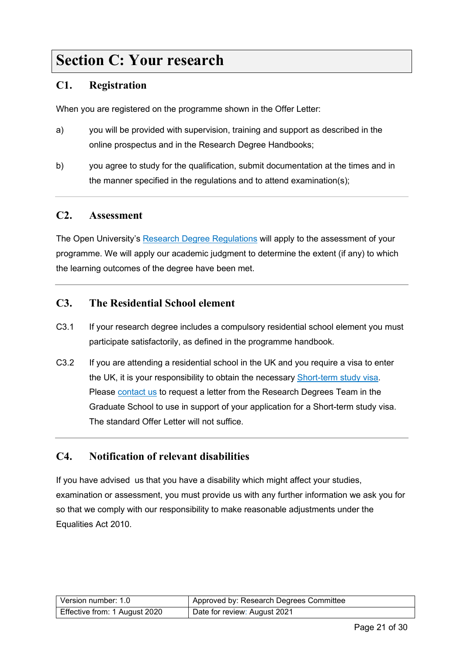### <span id="page-20-0"></span>**Section C: Your research**

#### <span id="page-20-1"></span>**C1. Registration**

When you are registered on the programme shown in the Offer Letter:

- a) you will be provided with supervision, training and support as described in the online prospectus and in the Research Degree Handbooks;
- b) you agree to study for the qualification, submit documentation at the times and in the manner specified in the regulations and to attend examination(s);

#### <span id="page-20-2"></span>**C2. Assessment**

The Open University's [Research Degree Regulations](https://help.open.ac.uk/documents/policies/research-degree-regulations) will apply to the assessment of your programme. We will apply our academic judgment to determine the extent (if any) to which the learning outcomes of the degree have been met.

#### <span id="page-20-3"></span>**C3. The Residential School element**

- C3.1 If your research degree includes a compulsory residential school element you must participate satisfactorily, as defined in the programme handbook.
- C3.2 If you are attending a residential school in the UK and you require a visa to enter the UK, it is your responsibility to obtain the necessary [Short-term study visa.](https://www.gov.uk/study-visit-visa) Please [contact us](#page-26-2) to request a letter from the Research Degrees Team in the Graduate School to use in support of your application for a Short-term study visa. The standard Offer Letter will not suffice.

#### <span id="page-20-4"></span>**C4. Notification of relevant disabilities**

If you have advised us that you have a disability which might affect your studies, examination or assessment, you must provide us with any further information we ask you for so that we comply with our responsibility to make reasonable adjustments under the Equalities Act 2010.

| Version number: 1.0           | Approved by: Research Degrees Committee |
|-------------------------------|-----------------------------------------|
| Effective from: 1 August 2020 | Date for review: August 2021            |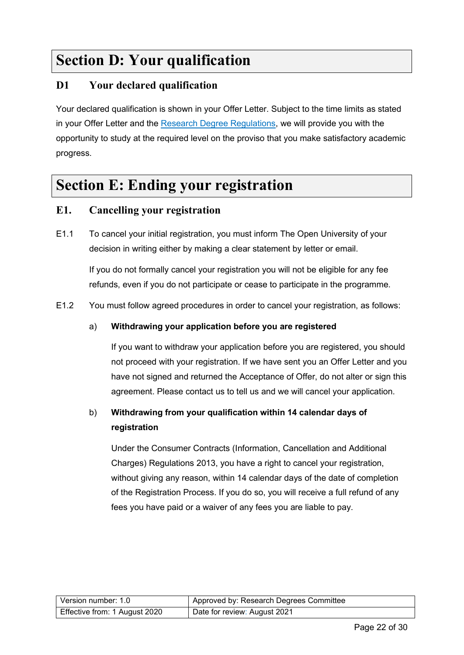## <span id="page-21-0"></span>**Section D: Your qualification**

#### <span id="page-21-1"></span>**D1 Your declared qualification**

Your declared qualification is shown in your Offer Letter. Subject to the time limits as stated in your Offer Letter and the [Research Degree Regulations,](https://help.open.ac.uk/documents/policies/research-degree-regulations) we will provide you with the opportunity to study at the required level on the proviso that you make satisfactory academic progress.

### <span id="page-21-2"></span>**Section E: Ending your registration**

#### <span id="page-21-3"></span>**E1. Cancelling your registration**

E1.1 To cancel your initial registration, you must inform The Open University of your decision in writing either by making a clear statement by letter or email.

If you do not formally cancel your registration you will not be eligible for any fee refunds, even if you do not participate or cease to participate in the programme.

E1.2 You must follow agreed procedures in order to cancel your registration, as follows:

#### a) **Withdrawing your application before you are registered**

If you want to withdraw your application before you are registered, you should not proceed with your registration. If we have sent you an Offer Letter and you have not signed and returned the Acceptance of Offer, do not alter or sign this agreement. Please contact us to tell us and we will cancel your application.

#### b) **Withdrawing from your qualification within 14 calendar days of registration**

Under the Consumer Contracts (Information, Cancellation and Additional Charges) Regulations 2013, you have a right to cancel your registration, without giving any reason, within 14 calendar days of the date of completion of the Registration Process. If you do so, you will receive a full refund of any fees you have paid or a waiver of any fees you are liable to pay.

| l Version number: 1.0         | Approved by: Research Degrees Committee |
|-------------------------------|-----------------------------------------|
| Effective from: 1 August 2020 | Date for review: August 2021            |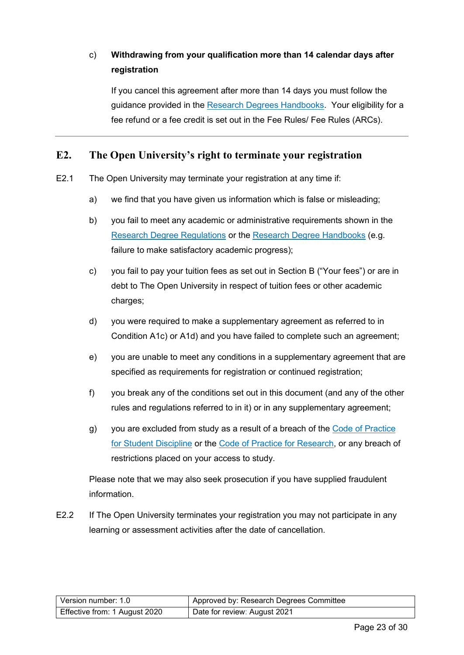#### c) **Withdrawing from your qualification more than 14 calendar days after registration**

If you cancel this agreement after more than 14 days you must follow the guidance provided in the [Research Degrees Handbooks.](https://help.open.ac.uk/documents/policies/research-degrees-handbook) Your eligibility for a fee refund or a fee credit is set out in the Fee Rules/ Fee Rules (ARCs).

#### <span id="page-22-0"></span>**E2. The Open University's right to terminate your registration**

- E2.1 The Open University may terminate your registration at any time if:
	- a) we find that you have given us information which is false or misleading;
	- b) you fail to meet any academic or administrative requirements shown in the [Research Degree Regulations](https://help.open.ac.uk/documents/policies/research-degree-regulations) or the [Research Degree Handbooks](https://help.open.ac.uk/documents/policies/research-degrees-handbook) (e.g. failure to make satisfactory academic progress);
	- c) you fail to pay your tuition fees as set out in Section B ("Your fees") or are in debt to The Open University in respect of tuition fees or other academic charges;
	- d) you were required to make a supplementary agreement as referred to in Condition A1c) or A1d) and you have failed to complete such an agreement;
	- e) you are unable to meet any conditions in a supplementary agreement that are specified as requirements for registration or continued registration;
	- f) you break any of the conditions set out in this document (and any of the other rules and regulations referred to in it) or in any supplementary agreement;
	- g) you are excluded from study as a result of a breach of the [Code of Practice](https://help.open.ac.uk/documents/policies/code-of-practice-student-discipline)  [for Student Discipline](https://help.open.ac.uk/documents/policies/code-of-practice-student-discipline) or the [Code of Practice for Research,](http://www.open.ac.uk/research/plans-policies) or any breach of restrictions placed on your access to study.

Please note that we may also seek prosecution if you have supplied fraudulent information.

E2.2 If The Open University terminates your registration you may not participate in any learning or assessment activities after the date of cancellation.

| Version number: 1.0           | Approved by: Research Degrees Committee |
|-------------------------------|-----------------------------------------|
| Effective from: 1 August 2020 | Date for review: August 2021            |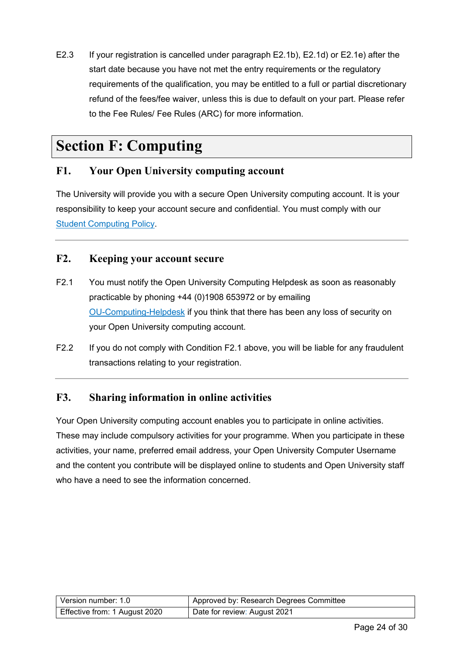E2.3 If your registration is cancelled under paragraph E2.1b), E2.1d) or E2.1e) after the start date because you have not met the entry requirements or the regulatory requirements of the qualification, you may be entitled to a full or partial discretionary refund of the fees/fee waiver, unless this is due to default on your part. Please refer to the Fee Rules/ Fee Rules (ARC) for more information.

### <span id="page-23-0"></span>**Section F: Computing**

#### <span id="page-23-1"></span>**F1. Your Open University computing account**

The University will provide you with a secure Open University computing account. It is your responsibility to keep your account secure and confidential. You must comply with our [Student Computing Policy.](https://help.open.ac.uk/documents/policies/computing)

#### <span id="page-23-2"></span>**F2. Keeping your account secure**

- F2.1 You must notify the Open University Computing Helpdesk as soon as reasonably practicable by phoning +44 (0)1908 653972 or by emailing [OU-Computing-Helpdesk](mailto:ou-computing-helpdesk@open.ac.uk) if you think that there has been any loss of security on your Open University computing account.
- F2.2 If you do not comply with Condition F2.1 above, you will be liable for any fraudulent transactions relating to your registration.

#### <span id="page-23-3"></span>**F3. Sharing information in online activities**

<span id="page-23-4"></span>Your Open University computing account enables you to participate in online activities. These may include compulsory activities for your programme. When you participate in these activities, your name, preferred email address, your Open University Computer Username and the content you contribute will be displayed online to students and Open University staff who have a need to see the information concerned.

| Version number: 1.0           | Approved by: Research Degrees Committee |
|-------------------------------|-----------------------------------------|
| Effective from: 1 August 2020 | Date for review: August 2021            |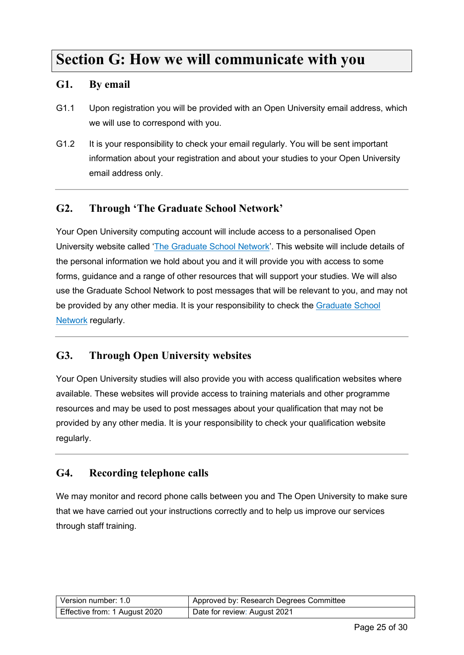### **Section G: How we will communicate with you**

#### <span id="page-24-0"></span>**G1. By email**

- G1.1 Upon registration you will be provided with an Open University email address, which we will use to correspond with you.
- G1.2 It is your responsibility to check your email regularly. You will be sent important information about your registration and about your studies to your Open University email address only.

#### <span id="page-24-1"></span>**G2. Through 'The Graduate School Network'**

Your Open University computing account will include access to a personalised Open University website called ['The Graduate School Network'](http://www.open.ac.uk/students/research/). This website will include details of the personal information we hold about you and it will provide you with access to some forms, guidance and a range of other resources that will support your studies. We will also use the Graduate School Network to post messages that will be relevant to you, and may not be provided by any other media. It is your responsibility to check the [Graduate School](http://www.open.ac.uk/students/research/)  [Network](http://www.open.ac.uk/students/research/) regularly.

#### <span id="page-24-2"></span>**G3. Through Open University websites**

Your Open University studies will also provide you with access qualification websites where available. These websites will provide access to training materials and other programme resources and may be used to post messages about your qualification that may not be provided by any other media. It is your responsibility to check your qualification website regularly.

#### <span id="page-24-3"></span>**G4. Recording telephone calls**

We may monitor and record phone calls between you and The Open University to make sure that we have carried out your instructions correctly and to help us improve our services through staff training.

| Version number: 1.0           | Approved by: Research Degrees Committee |
|-------------------------------|-----------------------------------------|
| Effective from: 1 August 2020 | Date for review: August 2021            |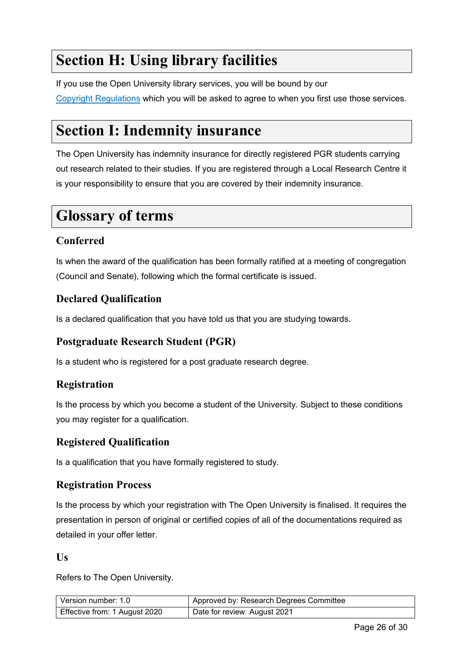## <span id="page-25-0"></span>**Section H: Using library facilities**

If you use the Open University library services, you will be bound by our [Copyright Regulations](http://www.open.ac.uk/library/library-information/copying-and-downloading) which you will be asked to agree to when you first use those services.

### <span id="page-25-1"></span>**Section I: Indemnity insurance**

The Open University has indemnity insurance for directly registered PGR students carrying out research related to their studies. If you are registered through a Local Research Centre it is your responsibility to ensure that you are covered by their indemnity insurance.

### <span id="page-25-2"></span>**Glossary of terms**

#### **Conferred**

Is when the award of the qualification has been formally ratified at a meeting of congregation (Council and Senate), following which the formal certificate is issued.

#### **Declared Qualification**

Is a declared qualification that you have told us that you are studying towards.

#### **Postgraduate Research Student (PGR)**

Is a student who is registered for a post graduate research degree.

#### **Registration**

Is the process by which you become a student of the University. Subject to these conditions you may register for a qualification.

#### **Registered Qualification**

Is a qualification that you have formally registered to study.

#### **Registration Process**

Is the process by which your registration with The Open University is finalised. It requires the presentation in person of original or certified copies of all of the documentations required as detailed in your offer letter.

#### **Us**

Refers to The Open University.

| Version number: 1.0           | Approved by: Research Degrees Committee |
|-------------------------------|-----------------------------------------|
| Effective from: 1 August 2020 | Date for review: August 2021            |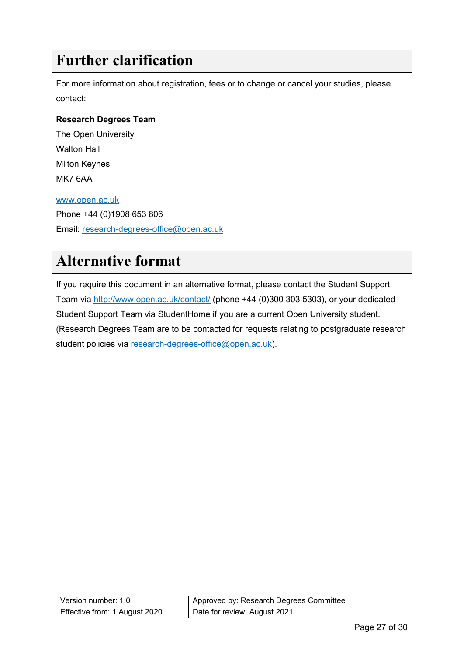## <span id="page-26-0"></span>**Further clarification**

For more information about registration, fees or to change or cancel your studies, please contact:

#### <span id="page-26-2"></span>**Research Degrees Team**

The Open University Walton Hall Milton Keynes MK7 6AA

#### [www.open.ac.uk](http://www.open.ac.uk/)

Phone +44 (0)1908 653 806 Email: [research-degrees-office@open.ac.uk](mailto:research-degrees-office@open.ac.uk)

### <span id="page-26-1"></span>**Alternative format**

<span id="page-26-3"></span>If you require this document in an alternative format, please contact the Student Support Team via<http://www.open.ac.uk/contact/> (phone +44 (0)300 303 5303), or your dedicated Student Support Team via StudentHome if you are a current Open University student. (Research Degrees Team are to be contacted for requests relating to postgraduate research student policies via [research-degrees-office@open.ac.uk\)](mailto:research-degrees-office@open.ac.uk).

| Version number: 1.0           | Approved by: Research Degrees Committee |
|-------------------------------|-----------------------------------------|
| Effective from: 1 August 2020 | Date for review: August 2021            |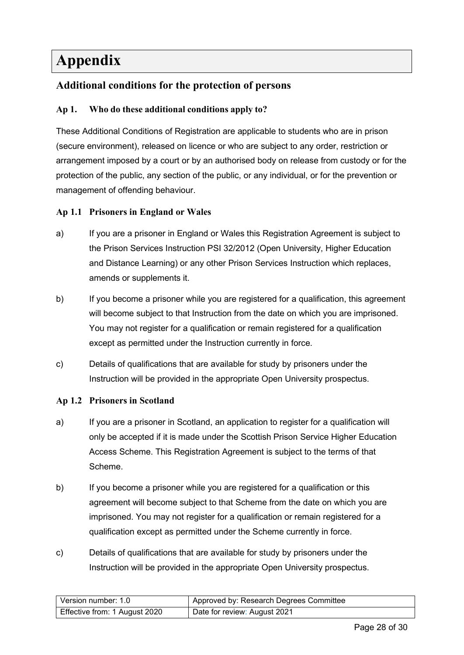## <span id="page-27-0"></span>**Appendix**

#### <span id="page-27-1"></span>**Additional conditions for the protection of persons**

#### **Ap 1. Who do these additional conditions apply to?**

These Additional Conditions of Registration are applicable to students who are in prison (secure environment), released on licence or who are subject to any order, restriction or arrangement imposed by a court or by an authorised body on release from custody or for the protection of the public, any section of the public, or any individual, or for the prevention or management of offending behaviour.

#### **Ap 1.1 Prisoners in England or Wales**

- a) If you are a prisoner in England or Wales this Registration Agreement is subject to the Prison Services Instruction PSI 32/2012 (Open University, Higher Education and Distance Learning) or any other Prison Services Instruction which replaces, amends or supplements it.
- b) If you become a prisoner while you are registered for a qualification, this agreement will become subject to that Instruction from the date on which you are imprisoned. You may not register for a qualification or remain registered for a qualification except as permitted under the Instruction currently in force.
- c) Details of qualifications that are available for study by prisoners under the Instruction will be provided in the appropriate Open University prospectus.

#### **Ap 1.2 Prisoners in Scotland**

- a) If you are a prisoner in Scotland, an application to register for a qualification will only be accepted if it is made under the Scottish Prison Service Higher Education Access Scheme. This Registration Agreement is subject to the terms of that Scheme.
- b) If you become a prisoner while you are registered for a qualification or this agreement will become subject to that Scheme from the date on which you are imprisoned. You may not register for a qualification or remain registered for a qualification except as permitted under the Scheme currently in force.
- c) Details of qualifications that are available for study by prisoners under the Instruction will be provided in the appropriate Open University prospectus.

| Version number: 1.0           | Approved by: Research Degrees Committee |
|-------------------------------|-----------------------------------------|
| Effective from: 1 August 2020 | Date for review: August 2021            |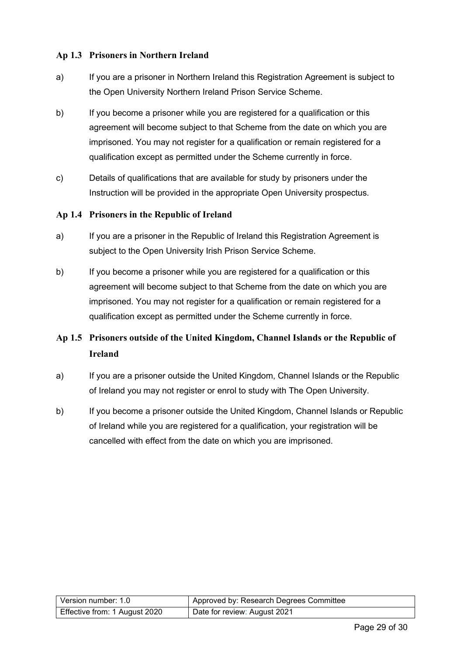#### **Ap 1.3 Prisoners in Northern Ireland**

- a) If you are a prisoner in Northern Ireland this Registration Agreement is subject to the Open University Northern Ireland Prison Service Scheme.
- b) If you become a prisoner while you are registered for a qualification or this agreement will become subject to that Scheme from the date on which you are imprisoned. You may not register for a qualification or remain registered for a qualification except as permitted under the Scheme currently in force.
- c) Details of qualifications that are available for study by prisoners under the Instruction will be provided in the appropriate Open University prospectus.

#### **Ap 1.4 Prisoners in the Republic of Ireland**

- a) If you are a prisoner in the Republic of Ireland this Registration Agreement is subject to the Open University Irish Prison Service Scheme.
- b) If you become a prisoner while you are registered for a qualification or this agreement will become subject to that Scheme from the date on which you are imprisoned. You may not register for a qualification or remain registered for a qualification except as permitted under the Scheme currently in force.

#### **Ap 1.5 Prisoners outside of the United Kingdom, Channel Islands or the Republic of Ireland**

- a) If you are a prisoner outside the United Kingdom, Channel Islands or the Republic of Ireland you may not register or enrol to study with The Open University.
- b) If you become a prisoner outside the United Kingdom, Channel Islands or Republic of Ireland while you are registered for a qualification, your registration will be cancelled with effect from the date on which you are imprisoned.

| Version number: 1.0           | Approved by: Research Degrees Committee |
|-------------------------------|-----------------------------------------|
| Effective from: 1 August 2020 | Date for review: August 2021            |